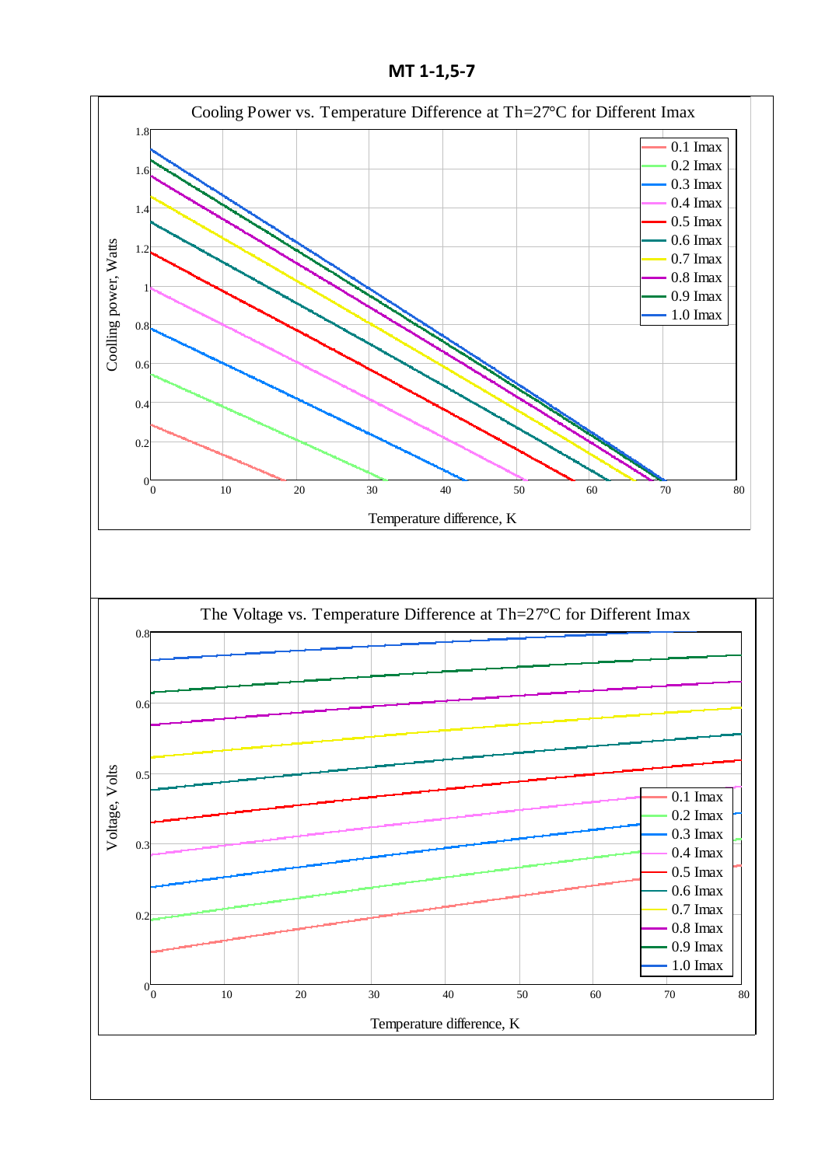**МТ 1-1,5-7**